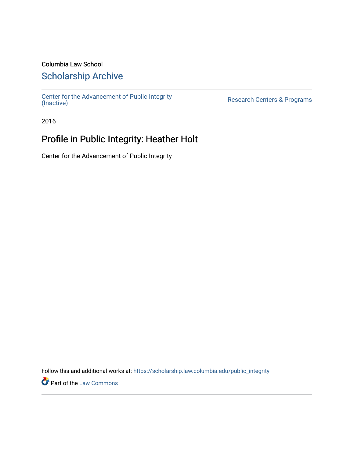### Columbia Law School

### [Scholarship Archive](https://scholarship.law.columbia.edu/)

[Center for the Advancement of Public Integrity](https://scholarship.law.columbia.edu/public_integrity)<br>(Inactive)

Research Centers & Programs

2016

## Profile in Public Integrity: Heather Holt

Center for the Advancement of Public Integrity

Follow this and additional works at: [https://scholarship.law.columbia.edu/public\\_integrity](https://scholarship.law.columbia.edu/public_integrity?utm_source=scholarship.law.columbia.edu%2Fpublic_integrity%2F94&utm_medium=PDF&utm_campaign=PDFCoverPages)

**Part of the [Law Commons](http://network.bepress.com/hgg/discipline/578?utm_source=scholarship.law.columbia.edu%2Fpublic_integrity%2F94&utm_medium=PDF&utm_campaign=PDFCoverPages)**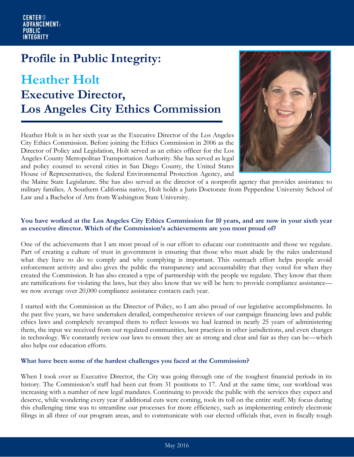## **Profile in Public Integrity:**

# **Heather Holt Executive Director, Los Angeles City Ethics Commission**

Heather Holt is in her sixth year as the Executive Director of the Los Angeles City Ethics Commission. Before joining the Ethics Commission in 2006 as the Director of Policy and Legislation, Holt served as an ethics officer for the Los Angeles County Metropolitan Transportation Authority. She has served as legal and policy counsel to several cities in San Diego County, the United States House of Representatives, the federal Environmental Protection Agency, and



the Maine State Legislature. She has also served as the director of a nonprofit agency that provides assistance to military families. A Southern California native, Holt holds a Juris Doctorate from Pepperdine University School of Law and a Bachelor of Arts from Washington State University.

#### **You have worked at the Los Angeles City Ethics Commission for 10 years, and are now in your sixth year as executive director. Which of the Commission's achievements are you most proud of?**

One of the achievements that I am most proud of is our effort to educate our constituents and those we regulate. Part of creating a culture of trust in government is ensuring that those who must abide by the rules understand what they have to do to comply and why complying is important. This outreach effort helps people avoid enforcement activity and also gives the public the transparency and accountability that they voted for when they created the Commission. It has also created a type of partnership with the people we regulate. They know that there are ramifications for violating the laws, but they also know that we will be here to provide compliance assistance we now average over 20,000 compliance assistance contacts each year.

I started with the Commission as the Director of Policy, so I am also proud of our legislative accomplishments. In the past five years, we have undertaken detailed, comprehensive reviews of our campaign financing laws and public ethics laws and completely revamped them to reflect lessons we had learned in nearly 25 years of administering them, the input we received from our regulated communities, best practices in other jurisdictions, and even changes in technology. We constantly review our laws to ensure they are as strong and clear and fair as they can be—which also helps our education efforts.

#### **What have been some of the hardest challenges you faced at the Commission?**

When I took over as Executive Director, the City was going through one of the toughest financial periods in its history. The Commission's staff had been cut from 31 positions to 17. And at the same time, our workload was increasing with a number of new legal mandates. Continuing to provide the public with the services they expect and deserve, while wondering every year if additional cuts were coming, took its toll on the entire staff. My focus during this challenging time was to streamline our processes for more efficiency, such as implementing entirely electronic filings in all three of our program areas, and to communicate with our elected officials that, even in fiscally tough